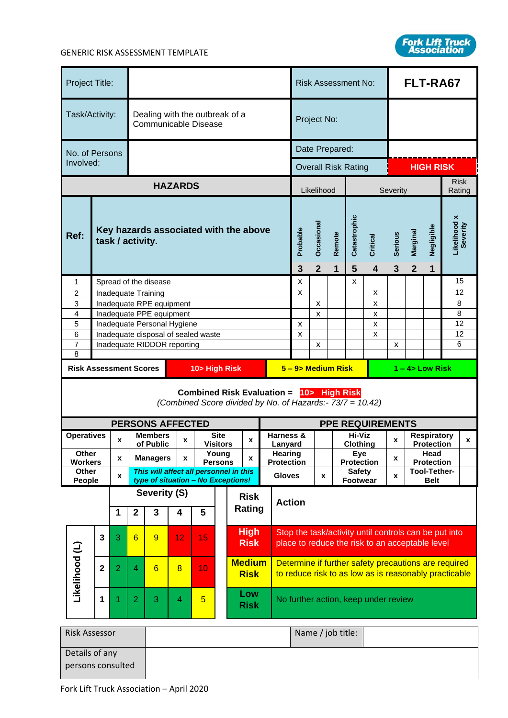

| Project Title:                                                                            |                                                      |                    |                                                        |                                                          |                |                                                                                                |                           |                                        |                       |                  |                                                                      | <b>Risk Assessment No:</b>                                                                                    |                           |                                     |                            |                           | FLT-RA67         |                                    |  |             |  |
|-------------------------------------------------------------------------------------------|------------------------------------------------------|--------------------|--------------------------------------------------------|----------------------------------------------------------|----------------|------------------------------------------------------------------------------------------------|---------------------------|----------------------------------------|-----------------------|------------------|----------------------------------------------------------------------|---------------------------------------------------------------------------------------------------------------|---------------------------|-------------------------------------|----------------------------|---------------------------|------------------|------------------------------------|--|-------------|--|
| Task/Activity:                                                                            |                                                      |                    | Dealing with the outbreak of a<br>Communicable Disease |                                                          |                |                                                                                                | Project No:               |                                        |                       |                  |                                                                      |                                                                                                               |                           |                                     |                            |                           |                  |                                    |  |             |  |
| No. of Persons                                                                            |                                                      |                    |                                                        |                                                          |                |                                                                                                |                           |                                        |                       | Date Prepared:   |                                                                      |                                                                                                               |                           |                                     |                            |                           |                  |                                    |  |             |  |
| Involved:                                                                                 |                                                      |                    |                                                        |                                                          |                |                                                                                                |                           |                                        |                       |                  |                                                                      |                                                                                                               |                           |                                     | <b>Overall Risk Rating</b> |                           | <b>HIGH RISK</b> |                                    |  |             |  |
|                                                                                           |                                                      |                    |                                                        |                                                          | <b>HAZARDS</b> |                                                                                                |                           |                                        |                       |                  |                                                                      |                                                                                                               | Likelihood                |                                     |                            |                           | Severity         |                                    |  | <b>Risk</b> |  |
| Ref:<br>task / activity.                                                                  |                                                      |                    |                                                        | Key hazards associated with the above                    |                |                                                                                                |                           |                                        |                       | Probable<br>3    | Occasional<br>$\overline{2}$                                         | Remote<br>1                                                                                                   | Catastrophic<br>5         | Critical<br>$\overline{\mathbf{4}}$ | <b>Serious</b><br>3        | Marginal<br>$\mathbf{2}$  | Negligible<br>1  | Rating<br>Likelihood x<br>Severity |  |             |  |
| 1                                                                                         |                                                      |                    |                                                        | Spread of the disease                                    |                |                                                                                                |                           |                                        |                       |                  |                                                                      | x                                                                                                             |                           |                                     | x                          |                           |                  |                                    |  | 15          |  |
| 2<br>3                                                                                    |                                                      |                    |                                                        | Inadequate Training                                      |                |                                                                                                |                           |                                        |                       |                  |                                                                      | X                                                                                                             | $\boldsymbol{\mathsf{x}}$ |                                     |                            | x<br>X                    |                  |                                    |  | 12<br>8     |  |
| 4                                                                                         | Inadequate RPE equipment<br>Inadequate PPE equipment |                    |                                                        |                                                          |                |                                                                                                | $\boldsymbol{\mathsf{x}}$ |                                        |                       | x                |                                                                      |                                                                                                               |                           | 8                                   |                            |                           |                  |                                    |  |             |  |
| 5                                                                                         |                                                      |                    |                                                        | Inadequate Personal Hygiene                              |                |                                                                                                |                           |                                        |                       |                  |                                                                      | $\pmb{\mathsf{X}}$                                                                                            |                           |                                     |                            | x                         |                  |                                    |  | 12          |  |
| 6<br>Inadequate disposal of sealed waste<br>$\overline{7}$<br>Inadequate RIDDOR reporting |                                                      |                    |                                                        |                                                          |                |                                                                                                | X                         | x                                      |                       |                  | x                                                                    | x                                                                                                             |                           |                                     | 12<br>6                    |                           |                  |                                    |  |             |  |
| 8                                                                                         |                                                      |                    |                                                        |                                                          |                |                                                                                                |                           |                                        |                       |                  |                                                                      |                                                                                                               |                           |                                     |                            |                           |                  |                                    |  |             |  |
| <b>Risk Assessment Scores</b>                                                             |                                                      |                    | 10> High Risk                                          |                                                          |                |                                                                                                |                           |                                        |                       | 5-9> Medium Risk |                                                                      |                                                                                                               |                           |                                     | $1 - 4$ Low Risk           |                           |                  |                                    |  |             |  |
|                                                                                           |                                                      |                    |                                                        |                                                          |                | <b>Combined Risk Evaluation =</b><br>(Combined Score divided by No. of Hazards:- 73/7 = 10.42) |                           |                                        |                       |                  |                                                                      |                                                                                                               |                           | 10> High Risk                       |                            |                           |                  |                                    |  |             |  |
|                                                                                           |                                                      |                    |                                                        | <b>PERSONS AFFECTED</b><br><b>Site</b><br><b>Members</b> |                |                                                                                                |                           |                                        |                       |                  | <b>PPE REQUIREMENTS</b><br>Hi-Viz<br>Harness &<br><b>Respiratory</b> |                                                                                                               |                           |                                     |                            |                           |                  |                                    |  |             |  |
| <b>Operatives</b>                                                                         |                                                      | x                  |                                                        | of Public                                                | X              |                                                                                                | X<br><b>Visitors</b>      |                                        |                       |                  | Lanvard                                                              | Clothing                                                                                                      |                           |                                     | X<br><b>Protection</b>     |                           |                  | X                                  |  |             |  |
| Other<br><b>Workers</b>                                                                   |                                                      | X                  |                                                        | <b>Managers</b>                                          | X              |                                                                                                | Young<br><b>Persons</b>   | X                                      |                       |                  | Hearing                                                              | Eye<br><b>Protection</b><br><b>Protection</b>                                                                 |                           |                                     | X                          | Head<br><b>Protection</b> |                  |                                    |  |             |  |
| <b>Other</b>                                                                              |                                                      | $\pmb{\mathsf{x}}$ |                                                        |                                                          |                |                                                                                                |                           | This will affect all personnel in this |                       |                  |                                                                      | Tool-Tether-<br><b>Safety</b><br><b>Gloves</b><br>X<br>X<br><b>Footwear</b>                                   |                           |                                     |                            |                           |                  |                                    |  |             |  |
| People                                                                                    |                                                      |                    |                                                        | type of situation - No Exceptions!<br>Severity (S)       |                |                                                                                                |                           |                                        |                       |                  |                                                                      |                                                                                                               |                           |                                     |                            | <b>Belt</b>               |                  |                                    |  |             |  |
|                                                                                           |                                                      |                    |                                                        |                                                          |                |                                                                                                |                           |                                        | <b>Risk</b><br>Rating |                  | <b>Action</b>                                                        |                                                                                                               |                           |                                     |                            |                           |                  |                                    |  |             |  |
|                                                                                           |                                                      | 1                  | $\mathbf{2}$                                           | 3                                                        | 4              | 5                                                                                              |                           |                                        |                       |                  |                                                                      |                                                                                                               |                           |                                     |                            |                           |                  |                                    |  |             |  |
|                                                                                           | $\overline{\mathbf{3}}$                              | 3                  | $6\phantom{1}$                                         | 9                                                        | 12             | 15                                                                                             |                           | <b>High</b><br><b>Risk</b>             |                       |                  |                                                                      | Stop the task/activity until controls can be put into<br>place to reduce the risk to an acceptable level      |                           |                                     |                            |                           |                  |                                    |  |             |  |
| Likelihood (L)                                                                            | $\mathbf 2$                                          | $\overline{2}$     | $\overline{4}$                                         | 6                                                        | $\overline{8}$ | 10                                                                                             |                           | <b>Medium</b><br><b>Risk</b>           |                       |                  |                                                                      | Determine if further safety precautions are required<br>to reduce risk to as low as is reasonably practicable |                           |                                     |                            |                           |                  |                                    |  |             |  |
| 1                                                                                         |                                                      | 1                  | $\overline{2}$                                         | 3                                                        | 4              | $\overline{5}$                                                                                 |                           | Low<br><b>Risk</b>                     |                       |                  |                                                                      | No further action, keep under review                                                                          |                           |                                     |                            |                           |                  |                                    |  |             |  |
| <b>Risk Assessor</b>                                                                      |                                                      |                    |                                                        |                                                          |                |                                                                                                |                           |                                        |                       |                  |                                                                      |                                                                                                               |                           | Name / job title:                   |                            |                           |                  |                                    |  |             |  |
| Details of any                                                                            |                                                      |                    |                                                        |                                                          |                |                                                                                                |                           |                                        |                       |                  |                                                                      |                                                                                                               |                           |                                     |                            |                           |                  |                                    |  |             |  |
| persons consulted                                                                         |                                                      |                    |                                                        |                                                          |                |                                                                                                |                           |                                        |                       |                  |                                                                      |                                                                                                               |                           |                                     |                            |                           |                  |                                    |  |             |  |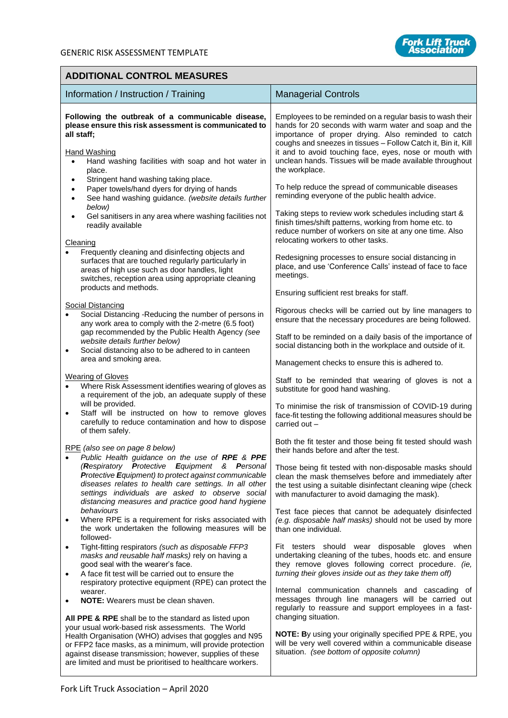

## **ADDITIONAL CONTROL MEASURES**

| Information / Instruction / Training                                                                                                                                                                                                                                                                                                                        | <b>Managerial Controls</b>                                                                                                                                                                                                                                                                                                                                                          |
|-------------------------------------------------------------------------------------------------------------------------------------------------------------------------------------------------------------------------------------------------------------------------------------------------------------------------------------------------------------|-------------------------------------------------------------------------------------------------------------------------------------------------------------------------------------------------------------------------------------------------------------------------------------------------------------------------------------------------------------------------------------|
| Following the outbreak of a communicable disease,<br>please ensure this risk assessment is communicated to<br>all staff;<br><b>Hand Washing</b><br>Hand washing facilities with soap and hot water in<br>$\bullet$<br>place.                                                                                                                                | Employees to be reminded on a regular basis to wash their<br>hands for 20 seconds with warm water and soap and the<br>importance of proper drying. Also reminded to catch<br>coughs and sneezes in tissues - Follow Catch it, Bin it, Kill<br>it and to avoid touching face, eyes, nose or mouth with<br>unclean hands. Tissues will be made available throughout<br>the workplace. |
| Stringent hand washing taking place.<br>Paper towels/hand dyers for drying of hands<br>See hand washing guidance. (website details further<br>$\bullet$<br>below)<br>Gel sanitisers in any area where washing facilities not                                                                                                                                | To help reduce the spread of communicable diseases<br>reminding everyone of the public health advice.<br>Taking steps to review work schedules including start &                                                                                                                                                                                                                    |
| readily available<br>Cleaning                                                                                                                                                                                                                                                                                                                               | finish times/shift patterns, working from home etc. to<br>reduce number of workers on site at any one time. Also<br>relocating workers to other tasks.                                                                                                                                                                                                                              |
| Frequently cleaning and disinfecting objects and<br>surfaces that are touched regularly particularly in<br>areas of high use such as door handles, light<br>switches, reception area using appropriate cleaning<br>products and methods.                                                                                                                    | Redesigning processes to ensure social distancing in<br>place, and use 'Conference Calls' instead of face to face<br>meetings.                                                                                                                                                                                                                                                      |
|                                                                                                                                                                                                                                                                                                                                                             | Ensuring sufficient rest breaks for staff.                                                                                                                                                                                                                                                                                                                                          |
| <b>Social Distancing</b><br>Social Distancing -Reducing the number of persons in<br>any work area to comply with the 2-metre (6.5 foot)                                                                                                                                                                                                                     | Rigorous checks will be carried out by line managers to<br>ensure that the necessary procedures are being followed.                                                                                                                                                                                                                                                                 |
| gap recommended by the Public Health Agency (see<br>website details further below)<br>Social distancing also to be adhered to in canteen<br>$\bullet$                                                                                                                                                                                                       | Staff to be reminded on a daily basis of the importance of<br>social distancing both in the workplace and outside of it.                                                                                                                                                                                                                                                            |
| area and smoking area.                                                                                                                                                                                                                                                                                                                                      | Management checks to ensure this is adhered to.                                                                                                                                                                                                                                                                                                                                     |
| <b>Wearing of Gloves</b><br>Where Risk Assessment identifies wearing of gloves as<br>a requirement of the job, an adequate supply of these                                                                                                                                                                                                                  | Staff to be reminded that wearing of gloves is not a<br>substitute for good hand washing.                                                                                                                                                                                                                                                                                           |
| will be provided.<br>Staff will be instructed on how to remove gloves<br>$\bullet$<br>carefully to reduce contamination and how to dispose<br>of them safely.                                                                                                                                                                                               | To minimise the risk of transmission of COVID-19 during<br>face-fit testing the following additional measures should be<br>carried out -                                                                                                                                                                                                                                            |
| RPE (also see on page 8 below)<br>Public Health guidance on the use of RPE & PPE                                                                                                                                                                                                                                                                            | Both the fit tester and those being fit tested should wash<br>their hands before and after the test.                                                                                                                                                                                                                                                                                |
| (Respiratory Protective Equipment & Personal<br>Protective Equipment) to protect against communicable<br>diseases relates to health care settings. In all other<br>settings individuals are asked to observe social<br>distancing measures and practice good hand hygiene                                                                                   | Those being fit tested with non-disposable masks should<br>clean the mask themselves before and immediately after<br>the test using a suitable disinfectant cleaning wipe (check<br>with manufacturer to avoid damaging the mask).                                                                                                                                                  |
| behaviours<br>Where RPE is a requirement for risks associated with<br>$\bullet$<br>the work undertaken the following measures will be<br>followed-                                                                                                                                                                                                          | Test face pieces that cannot be adequately disinfected<br>(e.g. disposable half masks) should not be used by more<br>than one individual.                                                                                                                                                                                                                                           |
| Tight-fitting respirators (such as disposable FFP3<br>$\bullet$<br>masks and reusable half masks) rely on having a<br>good seal with the wearer's face.<br>A face fit test will be carried out to ensure the<br>$\bullet$                                                                                                                                   | Fit testers should wear disposable gloves when<br>undertaking cleaning of the tubes, hoods etc. and ensure<br>they remove gloves following correct procedure. (ie,<br>turning their gloves inside out as they take them off)                                                                                                                                                        |
| respiratory protective equipment (RPE) can protect the<br>wearer.<br><b>NOTE:</b> Wearers must be clean shaven.<br>$\bullet$                                                                                                                                                                                                                                | Internal communication channels and cascading of<br>messages through line managers will be carried out<br>regularly to reassure and support employees in a fast-<br>changing situation.                                                                                                                                                                                             |
| All PPE & RPE shall be to the standard as listed upon<br>your usual work-based risk assessments. The World<br>Health Organisation (WHO) advises that goggles and N95<br>or FFP2 face masks, as a minimum, will provide protection<br>against disease transmission; however, supplies of these<br>are limited and must be prioritised to healthcare workers. | <b>NOTE:</b> By using your originally specified PPE & RPE, you<br>will be very well covered within a communicable disease<br>situation. (see bottom of opposite column)                                                                                                                                                                                                             |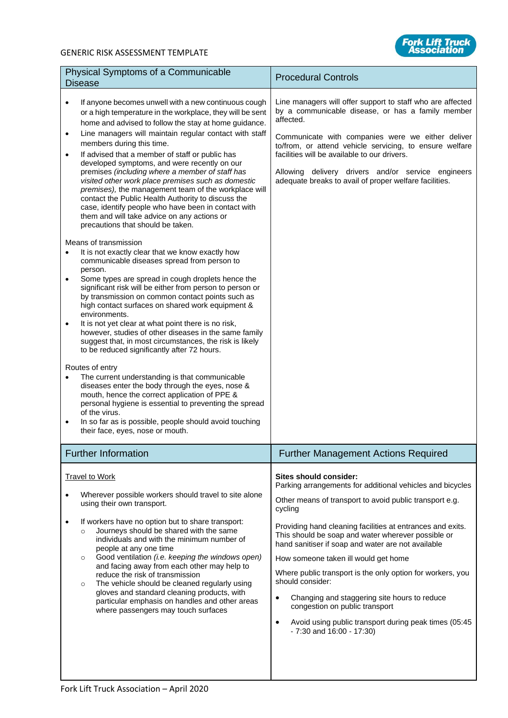## GENERIC RISK ASSESSMENT TEMPLATE



| Physical Symptoms of a Communicable<br><b>Disease</b>                                                                                                                                                                                                                                                                                                                                                                                                                                                                                                                                                                                                                                                                                                                                                                                                                                                                                                                                                                                                                                                                                                                                                                                                                                                                                                                                                                                                                                                                                                                                                                                                                                                                                                                                           | <b>Procedural Controls</b>                                                                                                                                                                                                                                                                                                                                                                                                                                                                                                                                                                                                                                        |
|-------------------------------------------------------------------------------------------------------------------------------------------------------------------------------------------------------------------------------------------------------------------------------------------------------------------------------------------------------------------------------------------------------------------------------------------------------------------------------------------------------------------------------------------------------------------------------------------------------------------------------------------------------------------------------------------------------------------------------------------------------------------------------------------------------------------------------------------------------------------------------------------------------------------------------------------------------------------------------------------------------------------------------------------------------------------------------------------------------------------------------------------------------------------------------------------------------------------------------------------------------------------------------------------------------------------------------------------------------------------------------------------------------------------------------------------------------------------------------------------------------------------------------------------------------------------------------------------------------------------------------------------------------------------------------------------------------------------------------------------------------------------------------------------------|-------------------------------------------------------------------------------------------------------------------------------------------------------------------------------------------------------------------------------------------------------------------------------------------------------------------------------------------------------------------------------------------------------------------------------------------------------------------------------------------------------------------------------------------------------------------------------------------------------------------------------------------------------------------|
| If anyone becomes unwell with a new continuous cough<br>$\bullet$<br>or a high temperature in the workplace, they will be sent<br>home and advised to follow the stay at home guidance.<br>Line managers will maintain regular contact with staff<br>$\bullet$<br>members during this time.<br>If advised that a member of staff or public has<br>$\bullet$<br>developed symptoms, and were recently on our<br>premises (including where a member of staff has<br>visited other work place premises such as domestic<br>premises), the management team of the workplace will<br>contact the Public Health Authority to discuss the<br>case, identify people who have been in contact with<br>them and will take advice on any actions or<br>precautions that should be taken.<br>Means of transmission<br>It is not exactly clear that we know exactly how<br>$\bullet$<br>communicable diseases spread from person to<br>person.<br>Some types are spread in cough droplets hence the<br>$\bullet$<br>significant risk will be either from person to person or<br>by transmission on common contact points such as<br>high contact surfaces on shared work equipment &<br>environments.<br>It is not yet clear at what point there is no risk,<br>$\bullet$<br>however, studies of other diseases in the same family<br>suggest that, in most circumstances, the risk is likely<br>to be reduced significantly after 72 hours.<br>Routes of entry<br>The current understanding is that communicable<br>diseases enter the body through the eyes, nose &<br>mouth, hence the correct application of PPE &<br>personal hygiene is essential to preventing the spread<br>of the virus.<br>In so far as is possible, people should avoid touching<br>$\bullet$<br>their face, eyes, nose or mouth. | Line managers will offer support to staff who are affected<br>by a communicable disease, or has a family member<br>affected.<br>Communicate with companies were we either deliver<br>to/from, or attend vehicle servicing, to ensure welfare<br>facilities will be available to our drivers.<br>Allowing delivery drivers and/or service engineers<br>adequate breaks to avail of proper welfare facilities.                                                                                                                                                                                                                                                      |
| <b>Further Information</b>                                                                                                                                                                                                                                                                                                                                                                                                                                                                                                                                                                                                                                                                                                                                                                                                                                                                                                                                                                                                                                                                                                                                                                                                                                                                                                                                                                                                                                                                                                                                                                                                                                                                                                                                                                      | <b>Further Management Actions Required</b>                                                                                                                                                                                                                                                                                                                                                                                                                                                                                                                                                                                                                        |
| <b>Travel to Work</b><br>Wherever possible workers should travel to site alone<br>using their own transport.<br>If workers have no option but to share transport:<br>$\bullet$<br>Journeys should be shared with the same<br>$\circ$<br>individuals and with the minimum number of<br>people at any one time<br>Good ventilation (i.e. keeping the windows open)<br>$\circ$<br>and facing away from each other may help to<br>reduce the risk of transmission<br>The vehicle should be cleaned regularly using<br>$\circ$<br>gloves and standard cleaning products, with<br>particular emphasis on handles and other areas<br>where passengers may touch surfaces                                                                                                                                                                                                                                                                                                                                                                                                                                                                                                                                                                                                                                                                                                                                                                                                                                                                                                                                                                                                                                                                                                                               | Sites should consider:<br>Parking arrangements for additional vehicles and bicycles<br>Other means of transport to avoid public transport e.g.<br>cycling<br>Providing hand cleaning facilities at entrances and exits.<br>This should be soap and water wherever possible or<br>hand sanitiser if soap and water are not available<br>How someone taken ill would get home<br>Where public transport is the only option for workers, you<br>should consider:<br>Changing and staggering site hours to reduce<br>$\bullet$<br>congestion on public transport<br>Avoid using public transport during peak times (05:45<br>$\bullet$<br>$-7:30$ and $16:00 - 17:30$ |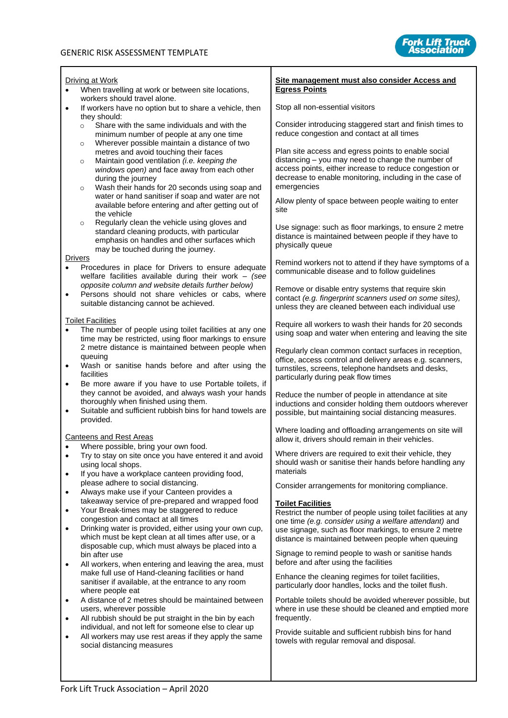

|                        | Driving at Work                                                                                                                                                                              | Site management must also consider Access and                                                                                                                                                                  |
|------------------------|----------------------------------------------------------------------------------------------------------------------------------------------------------------------------------------------|----------------------------------------------------------------------------------------------------------------------------------------------------------------------------------------------------------------|
|                        | When travelling at work or between site locations,                                                                                                                                           | <b>Egress Points</b>                                                                                                                                                                                           |
|                        | workers should travel alone.<br>If workers have no option but to share a vehicle, then                                                                                                       | Stop all non-essential visitors                                                                                                                                                                                |
|                        | they should:<br>Share with the same individuals and with the<br>$\circ$<br>minimum number of people at any one time                                                                          | Consider introducing staggered start and finish times to<br>reduce congestion and contact at all times                                                                                                         |
|                        | Wherever possible maintain a distance of two<br>$\circ$<br>metres and avoid touching their faces<br>Maintain good ventilation (i.e. keeping the<br>$\circ$                                   | Plan site access and egress points to enable social<br>distancing - you may need to change the number of                                                                                                       |
|                        | windows open) and face away from each other<br>during the journey<br>Wash their hands for 20 seconds using soap and<br>$\circ$                                                               | access points, either increase to reduce congestion or<br>decrease to enable monitoring, including in the case of<br>emergencies                                                                               |
|                        | water or hand sanitiser if soap and water are not<br>available before entering and after getting out of<br>the vehicle                                                                       | Allow plenty of space between people waiting to enter<br>site                                                                                                                                                  |
|                        | Regularly clean the vehicle using gloves and<br>$\circ$<br>standard cleaning products, with particular<br>emphasis on handles and other surfaces which<br>may be touched during the journey. | Use signage: such as floor markings, to ensure 2 metre<br>distance is maintained between people if they have to<br>physically queue                                                                            |
|                        | <b>Drivers</b><br>Procedures in place for Drivers to ensure adequate<br>welfare facilities available during their work $-$ (see                                                              | Remind workers not to attend if they have symptoms of a<br>communicable disease and to follow guidelines                                                                                                       |
| $\bullet$              | opposite column and website details further below)<br>Persons should not share vehicles or cabs, where<br>suitable distancing cannot be achieved.                                            | Remove or disable entry systems that require skin<br>contact (e.g. fingerprint scanners used on some sites),<br>unless they are cleaned between each individual use                                            |
| $\bullet$              | <b>Toilet Facilities</b><br>The number of people using toilet facilities at any one<br>time may be restricted, using floor markings to ensure                                                | Require all workers to wash their hands for 20 seconds<br>using soap and water when entering and leaving the site                                                                                              |
| $\bullet$<br>$\bullet$ | 2 metre distance is maintained between people when<br>queuing<br>Wash or sanitise hands before and after using the<br>facilities<br>Be more aware if you have to use Portable toilets, if    | Regularly clean common contact surfaces in reception,<br>office, access control and delivery areas e.g. scanners,<br>turnstiles, screens, telephone handsets and desks,<br>particularly during peak flow times |
| $\bullet$              | they cannot be avoided, and always wash your hands<br>thoroughly when finished using them.<br>Suitable and sufficient rubbish bins for hand towels are<br>provided.                          | Reduce the number of people in attendance at site<br>inductions and consider holding them outdoors wherever<br>possible, but maintaining social distancing measures.                                           |
|                        | <b>Canteens and Rest Areas</b>                                                                                                                                                               | Where loading and offloading arrangements on site will<br>allow it, drivers should remain in their vehicles.                                                                                                   |
| $\bullet$<br>$\bullet$ | Where possible, bring your own food.<br>Try to stay on site once you have entered it and avoid<br>using local shops.<br>If you have a workplace canteen providing food,                      | Where drivers are required to exit their vehicle, they<br>should wash or sanitise their hands before handling any<br>materials                                                                                 |
| $\bullet$              | please adhere to social distancing.<br>Always make use if your Canteen provides a                                                                                                            | Consider arrangements for monitoring compliance.                                                                                                                                                               |
| $\bullet$              | takeaway service of pre-prepared and wrapped food<br>Your Break-times may be staggered to reduce                                                                                             | <b>Toilet Facilities</b>                                                                                                                                                                                       |
| $\bullet$              | congestion and contact at all times<br>Drinking water is provided, either using your own cup,<br>which must be kept clean at all times after use, or a                                       | Restrict the number of people using toilet facilities at any<br>one time (e.g. consider using a welfare attendant) and<br>use signage, such as floor markings, to ensure 2 metre                               |
|                        | disposable cup, which must always be placed into a<br>bin after use                                                                                                                          | distance is maintained between people when queuing<br>Signage to remind people to wash or sanitise hands<br>before and after using the facilities                                                              |
| $\bullet$              | All workers, when entering and leaving the area, must<br>make full use of Hand-cleaning facilities or hand<br>sanitiser if available, at the entrance to any room                            | Enhance the cleaning regimes for toilet facilities,<br>particularly door handles, locks and the toilet flush.                                                                                                  |
| $\bullet$              | where people eat<br>A distance of 2 metres should be maintained between<br>users, wherever possible                                                                                          | Portable toilets should be avoided wherever possible, but<br>where in use these should be cleaned and emptied more                                                                                             |
| $\bullet$              | All rubbish should be put straight in the bin by each<br>individual, and not left for someone else to clear up                                                                               | frequently.                                                                                                                                                                                                    |
| $\bullet$              | All workers may use rest areas if they apply the same<br>social distancing measures                                                                                                          | Provide suitable and sufficient rubbish bins for hand<br>towels with regular removal and disposal.                                                                                                             |
|                        |                                                                                                                                                                                              |                                                                                                                                                                                                                |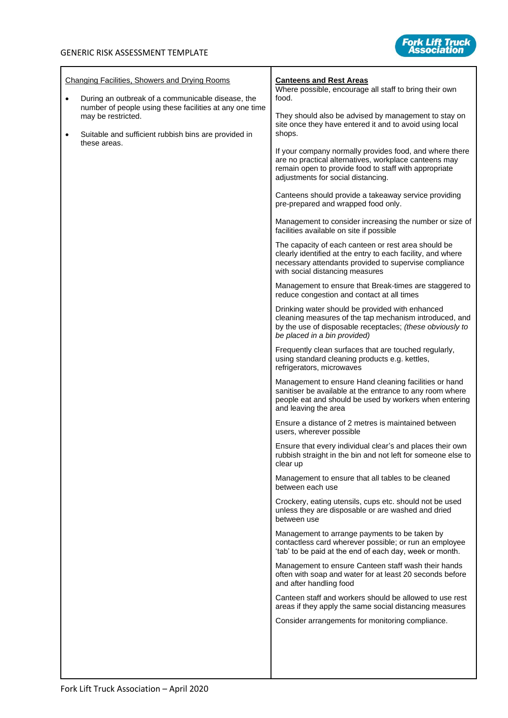

| <b>Changing Facilities, Showers and Drying Rooms</b><br><b>Canteens and Rest Areas</b><br>Where possible, encourage all staff to bring their own<br>food.<br>During an outbreak of a communicable disease, the<br>$\bullet$<br>number of people using these facilities at any one time<br>They should also be advised by management to stay on<br>may be restricted.<br>site once they have entered it and to avoid using local<br>shops.<br>Suitable and sufficient rubbish bins are provided in<br>$\bullet$<br>these areas.<br>If your company normally provides food, and where there<br>are no practical alternatives, workplace canteens may<br>remain open to provide food to staff with appropriate<br>adjustments for social distancing.<br>Canteens should provide a takeaway service providing<br>pre-prepared and wrapped food only.<br>Management to consider increasing the number or size of<br>facilities available on site if possible<br>The capacity of each canteen or rest area should be<br>clearly identified at the entry to each facility, and where<br>necessary attendants provided to supervise compliance<br>with social distancing measures<br>Management to ensure that Break-times are staggered to<br>reduce congestion and contact at all times<br>Drinking water should be provided with enhanced<br>cleaning measures of the tap mechanism introduced, and<br>by the use of disposable receptacles; (these obviously to<br>be placed in a bin provided)<br>Frequently clean surfaces that are touched regularly,<br>using standard cleaning products e.g. kettles,<br>refrigerators, microwaves<br>Management to ensure Hand cleaning facilities or hand<br>sanitiser be available at the entrance to any room where<br>people eat and should be used by workers when entering<br>and leaving the area<br>Ensure a distance of 2 metres is maintained between<br>users, wherever possible<br>Ensure that every individual clear's and places their own<br>rubbish straight in the bin and not left for someone else to<br>clear up<br>Management to ensure that all tables to be cleaned<br>between each use<br>Crockery, eating utensils, cups etc. should not be used<br>unless they are disposable or are washed and dried<br>between use<br>Management to arrange payments to be taken by<br>contactless card wherever possible; or run an employee<br>'tab' to be paid at the end of each day, week or month.<br>Management to ensure Canteen staff wash their hands<br>often with soap and water for at least 20 seconds before<br>and after handling food<br>Canteen staff and workers should be allowed to use rest<br>areas if they apply the same social distancing measures<br>Consider arrangements for monitoring compliance. |  |
|--------------------------------------------------------------------------------------------------------------------------------------------------------------------------------------------------------------------------------------------------------------------------------------------------------------------------------------------------------------------------------------------------------------------------------------------------------------------------------------------------------------------------------------------------------------------------------------------------------------------------------------------------------------------------------------------------------------------------------------------------------------------------------------------------------------------------------------------------------------------------------------------------------------------------------------------------------------------------------------------------------------------------------------------------------------------------------------------------------------------------------------------------------------------------------------------------------------------------------------------------------------------------------------------------------------------------------------------------------------------------------------------------------------------------------------------------------------------------------------------------------------------------------------------------------------------------------------------------------------------------------------------------------------------------------------------------------------------------------------------------------------------------------------------------------------------------------------------------------------------------------------------------------------------------------------------------------------------------------------------------------------------------------------------------------------------------------------------------------------------------------------------------------------------------------------------------------------------------------------------------------------------------------------------------------------------------------------------------------------------------------------------------------------------------------------------------------------------------------------------------------------------------------------------------------------------------------------------------------------------------------------------------------------------------------------------------------------------------------------------------------------------------------|--|
|--------------------------------------------------------------------------------------------------------------------------------------------------------------------------------------------------------------------------------------------------------------------------------------------------------------------------------------------------------------------------------------------------------------------------------------------------------------------------------------------------------------------------------------------------------------------------------------------------------------------------------------------------------------------------------------------------------------------------------------------------------------------------------------------------------------------------------------------------------------------------------------------------------------------------------------------------------------------------------------------------------------------------------------------------------------------------------------------------------------------------------------------------------------------------------------------------------------------------------------------------------------------------------------------------------------------------------------------------------------------------------------------------------------------------------------------------------------------------------------------------------------------------------------------------------------------------------------------------------------------------------------------------------------------------------------------------------------------------------------------------------------------------------------------------------------------------------------------------------------------------------------------------------------------------------------------------------------------------------------------------------------------------------------------------------------------------------------------------------------------------------------------------------------------------------------------------------------------------------------------------------------------------------------------------------------------------------------------------------------------------------------------------------------------------------------------------------------------------------------------------------------------------------------------------------------------------------------------------------------------------------------------------------------------------------------------------------------------------------------------------------------------------------|--|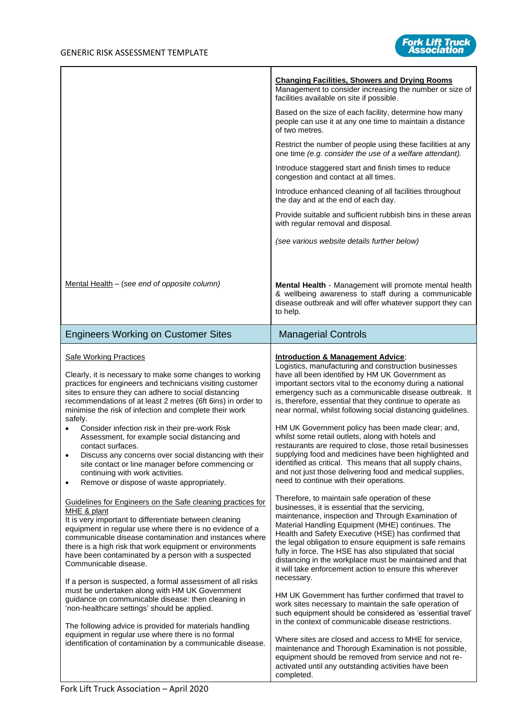

|                                                                                                                                                                                                                                                                                                                                                                                                                                                                                                                                                                                                                                                                                                                                                                                                            | <b>Changing Facilities, Showers and Drying Rooms</b><br>Management to consider increasing the number or size of<br>facilities available on site if possible.                                                                                                                                                                                                                                                                                                                                                                                                                                                                                                                                                                                                                                                                    |
|------------------------------------------------------------------------------------------------------------------------------------------------------------------------------------------------------------------------------------------------------------------------------------------------------------------------------------------------------------------------------------------------------------------------------------------------------------------------------------------------------------------------------------------------------------------------------------------------------------------------------------------------------------------------------------------------------------------------------------------------------------------------------------------------------------|---------------------------------------------------------------------------------------------------------------------------------------------------------------------------------------------------------------------------------------------------------------------------------------------------------------------------------------------------------------------------------------------------------------------------------------------------------------------------------------------------------------------------------------------------------------------------------------------------------------------------------------------------------------------------------------------------------------------------------------------------------------------------------------------------------------------------------|
|                                                                                                                                                                                                                                                                                                                                                                                                                                                                                                                                                                                                                                                                                                                                                                                                            | Based on the size of each facility, determine how many<br>people can use it at any one time to maintain a distance<br>of two metres.                                                                                                                                                                                                                                                                                                                                                                                                                                                                                                                                                                                                                                                                                            |
|                                                                                                                                                                                                                                                                                                                                                                                                                                                                                                                                                                                                                                                                                                                                                                                                            | Restrict the number of people using these facilities at any<br>one time (e.g. consider the use of a welfare attendant).                                                                                                                                                                                                                                                                                                                                                                                                                                                                                                                                                                                                                                                                                                         |
|                                                                                                                                                                                                                                                                                                                                                                                                                                                                                                                                                                                                                                                                                                                                                                                                            | Introduce staggered start and finish times to reduce<br>congestion and contact at all times.                                                                                                                                                                                                                                                                                                                                                                                                                                                                                                                                                                                                                                                                                                                                    |
|                                                                                                                                                                                                                                                                                                                                                                                                                                                                                                                                                                                                                                                                                                                                                                                                            | Introduce enhanced cleaning of all facilities throughout<br>the day and at the end of each day.                                                                                                                                                                                                                                                                                                                                                                                                                                                                                                                                                                                                                                                                                                                                 |
|                                                                                                                                                                                                                                                                                                                                                                                                                                                                                                                                                                                                                                                                                                                                                                                                            | Provide suitable and sufficient rubbish bins in these areas<br>with regular removal and disposal.                                                                                                                                                                                                                                                                                                                                                                                                                                                                                                                                                                                                                                                                                                                               |
|                                                                                                                                                                                                                                                                                                                                                                                                                                                                                                                                                                                                                                                                                                                                                                                                            | (see various website details further below)                                                                                                                                                                                                                                                                                                                                                                                                                                                                                                                                                                                                                                                                                                                                                                                     |
|                                                                                                                                                                                                                                                                                                                                                                                                                                                                                                                                                                                                                                                                                                                                                                                                            |                                                                                                                                                                                                                                                                                                                                                                                                                                                                                                                                                                                                                                                                                                                                                                                                                                 |
| Mental Health $-$ (see end of opposite column)                                                                                                                                                                                                                                                                                                                                                                                                                                                                                                                                                                                                                                                                                                                                                             | Mental Health - Management will promote mental health<br>& wellbeing awareness to staff during a communicable<br>disease outbreak and will offer whatever support they can<br>to help.                                                                                                                                                                                                                                                                                                                                                                                                                                                                                                                                                                                                                                          |
| <b>Engineers Working on Customer Sites</b>                                                                                                                                                                                                                                                                                                                                                                                                                                                                                                                                                                                                                                                                                                                                                                 | <b>Managerial Controls</b>                                                                                                                                                                                                                                                                                                                                                                                                                                                                                                                                                                                                                                                                                                                                                                                                      |
| <b>Safe Working Practices</b><br>Clearly, it is necessary to make some changes to working<br>practices for engineers and technicians visiting customer<br>sites to ensure they can adhere to social distancing<br>recommendations of at least 2 metres (6ft 6ins) in order to<br>minimise the risk of infection and complete their work<br>safely.<br>Consider infection risk in their pre-work Risk<br>Assessment, for example social distancing and<br>contact surfaces.<br>Discuss any concerns over social distancing with their<br>$\bullet$<br>site contact or line manager before commencing or<br>continuing with work activities.<br>Remove or dispose of waste appropriately.<br>$\bullet$                                                                                                       | <b>Introduction &amp; Management Advice;</b><br>Logistics, manufacturing and construction businesses<br>have all been identified by HM UK Government as<br>important sectors vital to the economy during a national<br>emergency such as a communicable disease outbreak. It<br>is, therefore, essential that they continue to operate as<br>near normal, whilst following social distancing guidelines.<br>HM UK Government policy has been made clear; and,<br>whilst some retail outlets, along with hotels and<br>restaurants are required to close, those retail businesses<br>supplying food and medicines have been highlighted and<br>identified as critical. This means that all supply chains,<br>and not just those delivering food and medical supplies,<br>need to continue with their operations.                 |
| Guidelines for Engineers on the Safe cleaning practices for<br>MHE & plant<br>It is very important to differentiate between cleaning<br>equipment in regular use where there is no evidence of a<br>communicable disease contamination and instances where<br>there is a high risk that work equipment or environments<br>have been contaminated by a person with a suspected<br>Communicable disease.<br>If a person is suspected, a formal assessment of all risks<br>must be undertaken along with HM UK Government<br>guidance on communicable disease: then cleaning in<br>'non-healthcare settings' should be applied.<br>The following advice is provided for materials handling<br>equipment in regular use where there is no formal<br>identification of contamination by a communicable disease. | Therefore, to maintain safe operation of these<br>businesses, it is essential that the servicing,<br>maintenance, inspection and Through Examination of<br>Material Handling Equipment (MHE) continues. The<br>Health and Safety Executive (HSE) has confirmed that<br>the legal obligation to ensure equipment is safe remains<br>fully in force. The HSE has also stipulated that social<br>distancing in the workplace must be maintained and that<br>it will take enforcement action to ensure this wherever<br>necessary.<br>HM UK Government has further confirmed that travel to<br>work sites necessary to maintain the safe operation of<br>such equipment should be considered as 'essential travel'<br>in the context of communicable disease restrictions.<br>Where sites are closed and access to MHE for service, |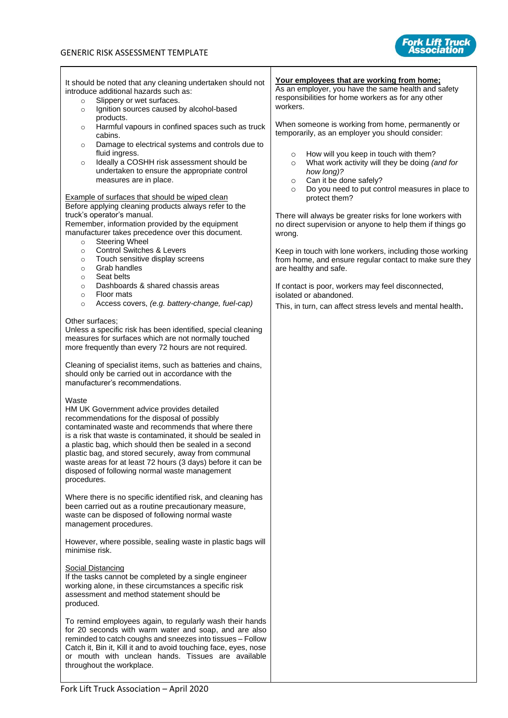

It should be noted that any cleaning undertaken should not introduce additional hazards such as: Slippery or wet surfaces. o Ignition sources caused by alcohol-based products. o Harmful vapours in confined spaces such as truck cabins. o Damage to electrical systems and controls due to fluid ingress. o Ideally a COSHH risk assessment should be undertaken to ensure the appropriate control measures are in place. Example of surfaces that should be wiped clean Before applying cleaning products always refer to the truck's operator's manual. Remember, information provided by the equipment manufacturer takes precedence over this document. o Steering Wheel o Control Switches & Levers o Touch sensitive display screens o Grab handles o Seat belts o Dashboards & shared chassis areas o Floor mats o Access covers, *(e.g. battery-change, fuel-cap)* Other surfaces; Unless a specific risk has been identified, special cleaning measures for surfaces which are not normally touched more frequently than every 72 hours are not required. Cleaning of specialist items, such as batteries and chains, should only be carried out in accordance with the manufacturer's recommendations. Waste HM UK Government advice provides detailed recommendations for the disposal of possibly contaminated waste and recommends that where there is a risk that waste is contaminated, it should be sealed in a plastic bag, which should then be sealed in a second plastic bag, and stored securely, away from communal waste areas for at least 72 hours (3 days) before it can be disposed of following normal waste management procedures. Where there is no specific identified risk, and cleaning has been carried out as a routine precautionary measure, waste can be disposed of following normal waste management procedures. However, where possible, sealing waste in plastic bags will minimise risk. Social Distancing If the tasks cannot be completed by a single engineer working alone, in these circumstances a specific risk assessment and method statement should be produced. To remind employees again, to regularly wash their hands for 20 seconds with warm water and soap, and are also reminded to catch coughs and sneezes into tissues – Follow Catch it, Bin it, Kill it and to avoid touching face, eyes, nose or mouth with unclean hands. Tissues are available throughout the workplace. **Your employees that are working from home;** As an employer, you have the same health and safety responsibilities for home workers as for any other workers. When someone is working from home, permanently or temporarily, as an employer you should consider: o How will you keep in touch with them? o What work activity will they be doing *(and for how long)?*  o Can it be done safely? o Do you need to put control measures in place to protect them? There will always be greater risks for lone workers with no direct supervision or anyone to help them if things go wrong. Keep in touch with lone workers, including those working from home, and ensure regular contact to make sure they are healthy and safe. If contact is poor, workers may feel disconnected, isolated or abandoned. This, in turn, can affec[t stress levels and mental health](https://www.hse.gov.uk/toolbox/workers/home.htm#stress-mental-health).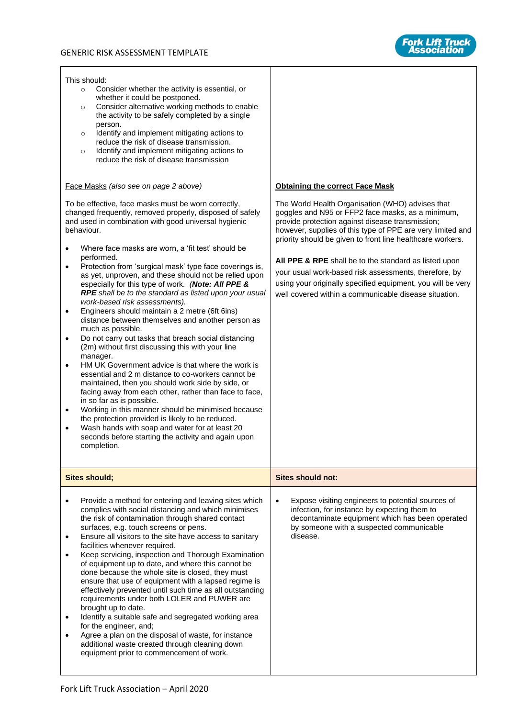This should:



| This should:<br>Consider whether the activity is essential, or<br>$\circ$<br>whether it could be postponed.<br>Consider alternative working methods to enable<br>$\circ$<br>the activity to be safely completed by a single<br>person.<br>Identify and implement mitigating actions to<br>$\circ$<br>reduce the risk of disease transmission.<br>Identify and implement mitigating actions to<br>$\circ$<br>reduce the risk of disease transmission                                                                                                                                                                                                                                                                                                                                                                                                                                                                                                                                                                                                                                                                                                                                                                                                                                                                                                       |                                                                                                                                                                                                                                                                                                                                                                                                                                                                                                                                 |  |  |  |
|-----------------------------------------------------------------------------------------------------------------------------------------------------------------------------------------------------------------------------------------------------------------------------------------------------------------------------------------------------------------------------------------------------------------------------------------------------------------------------------------------------------------------------------------------------------------------------------------------------------------------------------------------------------------------------------------------------------------------------------------------------------------------------------------------------------------------------------------------------------------------------------------------------------------------------------------------------------------------------------------------------------------------------------------------------------------------------------------------------------------------------------------------------------------------------------------------------------------------------------------------------------------------------------------------------------------------------------------------------------|---------------------------------------------------------------------------------------------------------------------------------------------------------------------------------------------------------------------------------------------------------------------------------------------------------------------------------------------------------------------------------------------------------------------------------------------------------------------------------------------------------------------------------|--|--|--|
| Face Masks (also see on page 2 above)                                                                                                                                                                                                                                                                                                                                                                                                                                                                                                                                                                                                                                                                                                                                                                                                                                                                                                                                                                                                                                                                                                                                                                                                                                                                                                                     | <b>Obtaining the correct Face Mask</b>                                                                                                                                                                                                                                                                                                                                                                                                                                                                                          |  |  |  |
| To be effective, face masks must be worn correctly,<br>changed frequently, removed properly, disposed of safely<br>and used in combination with good universal hygienic<br>behaviour.<br>Where face masks are worn, a 'fit test' should be<br>performed.<br>Protection from 'surgical mask' type face coverings is,<br>$\bullet$<br>as yet, unproven, and these should not be relied upon<br>especially for this type of work. (Note: All PPE &<br>RPE shall be to the standard as listed upon your usual<br>work-based risk assessments).<br>Engineers should maintain a 2 metre (6ft 6ins)<br>$\bullet$<br>distance between themselves and another person as<br>much as possible.<br>Do not carry out tasks that breach social distancing<br>$\bullet$<br>(2m) without first discussing this with your line<br>manager.<br>HM UK Government advice is that where the work is<br>$\bullet$<br>essential and 2 m distance to co-workers cannot be<br>maintained, then you should work side by side, or<br>facing away from each other, rather than face to face,<br>in so far as is possible.<br>Working in this manner should be minimised because<br>$\bullet$<br>the protection provided is likely to be reduced.<br>Wash hands with soap and water for at least 20<br>$\bullet$<br>seconds before starting the activity and again upon<br>completion. | The World Health Organisation (WHO) advises that<br>goggles and N95 or FFP2 face masks, as a minimum,<br>provide protection against disease transmission;<br>however, supplies of this type of PPE are very limited and<br>priority should be given to front line healthcare workers.<br>All PPE & RPE shall be to the standard as listed upon<br>your usual work-based risk assessments, therefore, by<br>using your originally specified equipment, you will be very<br>well covered within a communicable disease situation. |  |  |  |
| <b>Sites should;</b>                                                                                                                                                                                                                                                                                                                                                                                                                                                                                                                                                                                                                                                                                                                                                                                                                                                                                                                                                                                                                                                                                                                                                                                                                                                                                                                                      | <b>Sites should not:</b>                                                                                                                                                                                                                                                                                                                                                                                                                                                                                                        |  |  |  |
| Provide a method for entering and leaving sites which<br>complies with social distancing and which minimises<br>the risk of contamination through shared contact<br>surfaces, e.g. touch screens or pens.<br>Ensure all visitors to the site have access to sanitary<br>facilities whenever required.<br>Keep servicing, inspection and Thorough Examination<br>of equipment up to date, and where this cannot be<br>done because the whole site is closed, they must<br>ensure that use of equipment with a lapsed regime is<br>effectively prevented until such time as all outstanding<br>requirements under both LOLER and PUWER are<br>brought up to date.<br>Identify a suitable safe and segregated working area<br>for the engineer, and;<br>Agree a plan on the disposal of waste, for instance<br>additional waste created through cleaning down<br>equipment prior to commencement of work.                                                                                                                                                                                                                                                                                                                                                                                                                                                    | Expose visiting engineers to potential sources of<br>$\bullet$<br>infection, for instance by expecting them to<br>decontaminate equipment which has been operated<br>by someone with a suspected communicable<br>disease.                                                                                                                                                                                                                                                                                                       |  |  |  |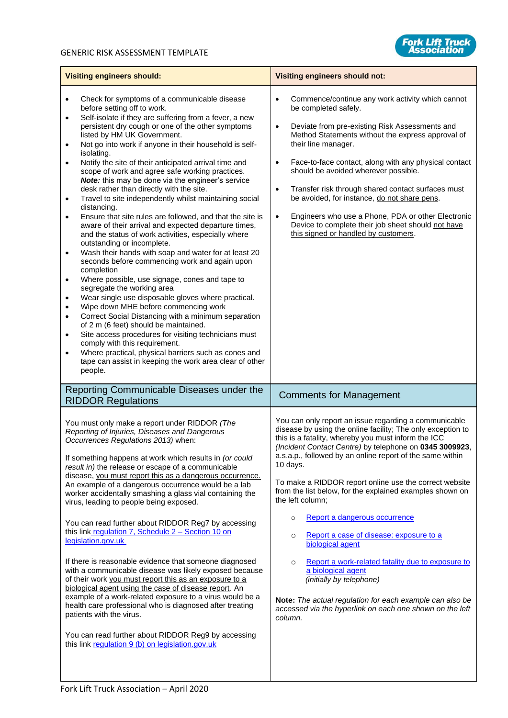

| <b>Visiting engineers should:</b>                                                                                                                                                                                                                                                                                                                                                                                                                                                                                                                                                                                                                                                                                                                                                                                                                                                                                                                                                                                                                                                                                                                                                                                                                                                                                                                                                                                                                                                                                                                                                      | <b>Visiting engineers should not:</b>                                                                                                                                                                                                                                                                                                                                                                                                                                                                                                                                                                                                                                                                                                                                                                                                |
|----------------------------------------------------------------------------------------------------------------------------------------------------------------------------------------------------------------------------------------------------------------------------------------------------------------------------------------------------------------------------------------------------------------------------------------------------------------------------------------------------------------------------------------------------------------------------------------------------------------------------------------------------------------------------------------------------------------------------------------------------------------------------------------------------------------------------------------------------------------------------------------------------------------------------------------------------------------------------------------------------------------------------------------------------------------------------------------------------------------------------------------------------------------------------------------------------------------------------------------------------------------------------------------------------------------------------------------------------------------------------------------------------------------------------------------------------------------------------------------------------------------------------------------------------------------------------------------|--------------------------------------------------------------------------------------------------------------------------------------------------------------------------------------------------------------------------------------------------------------------------------------------------------------------------------------------------------------------------------------------------------------------------------------------------------------------------------------------------------------------------------------------------------------------------------------------------------------------------------------------------------------------------------------------------------------------------------------------------------------------------------------------------------------------------------------|
| Check for symptoms of a communicable disease<br>٠<br>before setting off to work.<br>Self-isolate if they are suffering from a fever, a new<br>$\bullet$<br>persistent dry cough or one of the other symptoms<br>listed by HM UK Government.<br>Not go into work if anyone in their household is self-<br>$\bullet$<br>isolating.<br>Notify the site of their anticipated arrival time and<br>$\bullet$<br>scope of work and agree safe working practices.<br>Note: this may be done via the engineer's service<br>desk rather than directly with the site.<br>Travel to site independently whilst maintaining social<br>٠<br>distancing.<br>Ensure that site rules are followed, and that the site is<br>$\bullet$<br>aware of their arrival and expected departure times,<br>and the status of work activities, especially where<br>outstanding or incomplete.<br>Wash their hands with soap and water for at least 20<br>$\bullet$<br>seconds before commencing work and again upon<br>completion<br>Where possible, use signage, cones and tape to<br>$\bullet$<br>segregate the working area<br>Wear single use disposable gloves where practical.<br>$\bullet$<br>Wipe down MHE before commencing work<br>$\bullet$<br>Correct Social Distancing with a minimum separation<br>$\bullet$<br>of 2 m (6 feet) should be maintained.<br>Site access procedures for visiting technicians must<br>$\bullet$<br>comply with this requirement.<br>Where practical, physical barriers such as cones and<br>$\bullet$<br>tape can assist in keeping the work area clear of other<br>people. | Commence/continue any work activity which cannot<br>$\bullet$<br>be completed safely.<br>Deviate from pre-existing Risk Assessments and<br>$\bullet$<br>Method Statements without the express approval of<br>their line manager.<br>Face-to-face contact, along with any physical contact<br>$\bullet$<br>should be avoided wherever possible.<br>Transfer risk through shared contact surfaces must<br>$\bullet$<br>be avoided, for instance, do not share pens.<br>Engineers who use a Phone, PDA or other Electronic<br>$\bullet$<br>Device to complete their job sheet should not have<br>this signed or handled by customers.                                                                                                                                                                                                   |
| Reporting Communicable Diseases under the<br><b>RIDDOR Regulations</b>                                                                                                                                                                                                                                                                                                                                                                                                                                                                                                                                                                                                                                                                                                                                                                                                                                                                                                                                                                                                                                                                                                                                                                                                                                                                                                                                                                                                                                                                                                                 | <b>Comments for Management</b>                                                                                                                                                                                                                                                                                                                                                                                                                                                                                                                                                                                                                                                                                                                                                                                                       |
| You must only make a report under RIDDOR (The<br>Reporting of Injuries, Diseases and Dangerous<br>Occurrences Regulations 2013) when:<br>If something happens at work which results in (or could<br>result in) the release or escape of a communicable<br>disease, you must report this as a dangerous occurrence.<br>An example of a dangerous occurrence would be a lab<br>worker accidentally smashing a glass vial containing the<br>virus, leading to people being exposed.<br>You can read further about RIDDOR Reg7 by accessing<br>this link regulation 7, Schedule 2 - Section 10 on<br>legislation.gov.uk<br>If there is reasonable evidence that someone diagnosed<br>with a communicable disease was likely exposed because<br>of their work you must report this as an exposure to a<br>biological agent using the case of disease report. An<br>example of a work-related exposure to a virus would be a<br>health care professional who is diagnosed after treating<br>patients with the virus.<br>You can read further about RIDDOR Reg9 by accessing                                                                                                                                                                                                                                                                                                                                                                                                                                                                                                                  | You can only report an issue regarding a communicable<br>disease by using the online facility; The only exception to<br>this is a fatality, whereby you must inform the ICC<br>(Incident Contact Centre) by telephone on 0345 3009923,<br>a.s.a.p., followed by an online report of the same within<br>10 days.<br>To make a RIDDOR report online use the correct website<br>from the list below, for the explained examples shown on<br>the left column;<br>Report a dangerous occurrence<br>$\circ$<br>Report a case of disease: exposure to a<br>$\circ$<br>biological agent<br>Report a work-related fatality due to exposure to<br>$\circ$<br>a biological agent<br>(initially by telephone)<br>Note: The actual regulation for each example can also be<br>accessed via the hyperlink on each one shown on the left<br>column. |
| this link regulation 9 (b) on legislation.gov.uk                                                                                                                                                                                                                                                                                                                                                                                                                                                                                                                                                                                                                                                                                                                                                                                                                                                                                                                                                                                                                                                                                                                                                                                                                                                                                                                                                                                                                                                                                                                                       |                                                                                                                                                                                                                                                                                                                                                                                                                                                                                                                                                                                                                                                                                                                                                                                                                                      |

 $\overline{\phantom{a}}$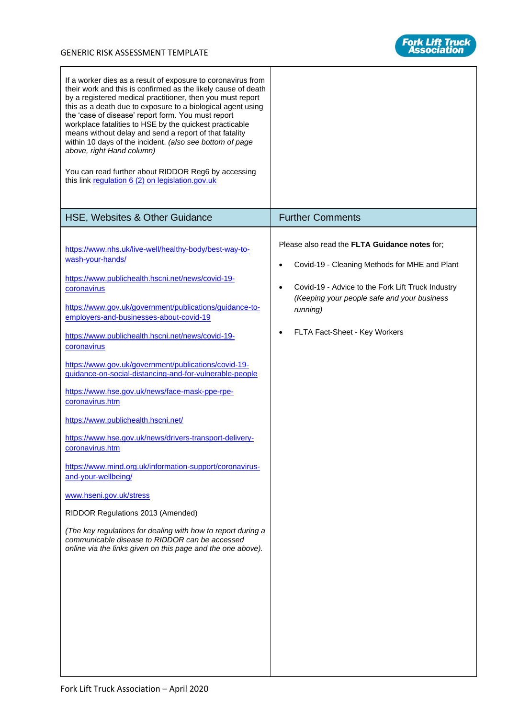

| If a worker dies as a result of exposure to coronavirus from<br>their work and this is confirmed as the likely cause of death<br>by a registered medical practitioner, then you must report<br>this as a death due to exposure to a biological agent using<br>the 'case of disease' report form. You must report<br>workplace fatalities to HSE by the quickest practicable<br>means without delay and send a report of that fatality<br>within 10 days of the incident. (also see bottom of page<br>above, right Hand column)<br>You can read further about RIDDOR Reg6 by accessing<br>this link regulation 6 (2) on legislation.gov.uk                                                                                                                                                                                                                                                                                                                                 |                                                                                                                                                                                                                                                                   |
|---------------------------------------------------------------------------------------------------------------------------------------------------------------------------------------------------------------------------------------------------------------------------------------------------------------------------------------------------------------------------------------------------------------------------------------------------------------------------------------------------------------------------------------------------------------------------------------------------------------------------------------------------------------------------------------------------------------------------------------------------------------------------------------------------------------------------------------------------------------------------------------------------------------------------------------------------------------------------|-------------------------------------------------------------------------------------------------------------------------------------------------------------------------------------------------------------------------------------------------------------------|
| HSE, Websites & Other Guidance                                                                                                                                                                                                                                                                                                                                                                                                                                                                                                                                                                                                                                                                                                                                                                                                                                                                                                                                            | <b>Further Comments</b>                                                                                                                                                                                                                                           |
| https://www.nhs.uk/live-well/healthy-body/best-way-to-<br>wash-your-hands/<br>https://www.publichealth.hscni.net/news/covid-19-<br>coronavirus<br>https://www.gov.uk/government/publications/guidance-to-<br>employers-and-businesses-about-covid-19<br>https://www.publichealth.hscni.net/news/covid-19-<br>coronavirus<br>https://www.gov.uk/government/publications/covid-19-<br>guidance-on-social-distancing-and-for-vulnerable-people<br>https://www.hse.gov.uk/news/face-mask-ppe-rpe-<br>coronavirus.htm<br>https://www.publichealth.hscni.net/<br>https://www.hse.gov.uk/news/drivers-transport-delivery-<br>coronavirus.htm<br>https://www.mind.org.uk/information-support/coronavirus-<br>and-your-wellbeing/<br>www.hseni.gov.uk/stress<br>RIDDOR Regulations 2013 (Amended)<br>(The key regulations for dealing with how to report during a<br>communicable disease to RIDDOR can be accessed<br>online via the links given on this page and the one above). | Please also read the FLTA Guidance notes for;<br>Covid-19 - Cleaning Methods for MHE and Plant<br>٠<br>Covid-19 - Advice to the Fork Lift Truck Industry<br>$\bullet$<br>(Keeping your people safe and your business<br>running)<br>FLTA Fact-Sheet - Key Workers |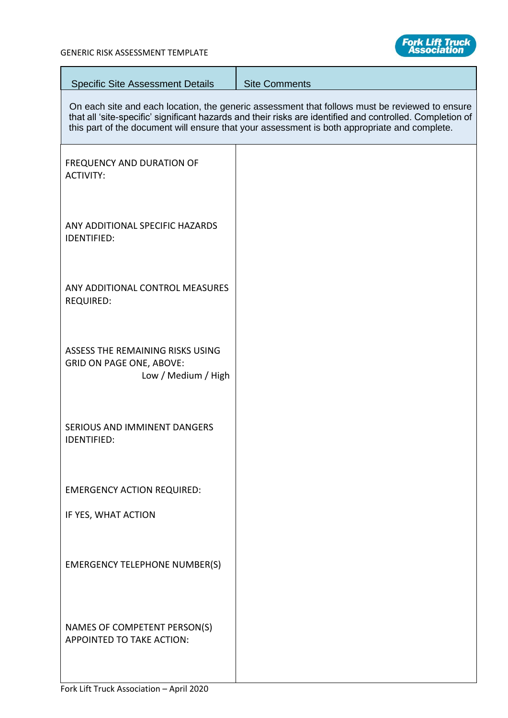$\overline{\phantom{a}}$ 



| <b>Specific Site Assessment Details</b>                                                    | <b>Site Comments</b>                                                                                                                                                                                                                                                                                        |
|--------------------------------------------------------------------------------------------|-------------------------------------------------------------------------------------------------------------------------------------------------------------------------------------------------------------------------------------------------------------------------------------------------------------|
|                                                                                            | On each site and each location, the generic assessment that follows must be reviewed to ensure<br>that all 'site-specific' significant hazards and their risks are identified and controlled. Completion of<br>this part of the document will ensure that your assessment is both appropriate and complete. |
| <b>FREQUENCY AND DURATION OF</b><br><b>ACTIVITY:</b>                                       |                                                                                                                                                                                                                                                                                                             |
| ANY ADDITIONAL SPECIFIC HAZARDS<br>IDENTIFIED:                                             |                                                                                                                                                                                                                                                                                                             |
| ANY ADDITIONAL CONTROL MEASURES<br><b>REQUIRED:</b>                                        |                                                                                                                                                                                                                                                                                                             |
| ASSESS THE REMAINING RISKS USING<br><b>GRID ON PAGE ONE, ABOVE:</b><br>Low / Medium / High |                                                                                                                                                                                                                                                                                                             |
| SERIOUS AND IMMINENT DANGERS<br><b>IDENTIFIED:</b>                                         |                                                                                                                                                                                                                                                                                                             |
| <b>EMERGENCY ACTION REQUIRED:</b>                                                          |                                                                                                                                                                                                                                                                                                             |
| IF YES, WHAT ACTION                                                                        |                                                                                                                                                                                                                                                                                                             |
| <b>EMERGENCY TELEPHONE NUMBER(S)</b>                                                       |                                                                                                                                                                                                                                                                                                             |
| NAMES OF COMPETENT PERSON(S)<br>APPOINTED TO TAKE ACTION:                                  |                                                                                                                                                                                                                                                                                                             |